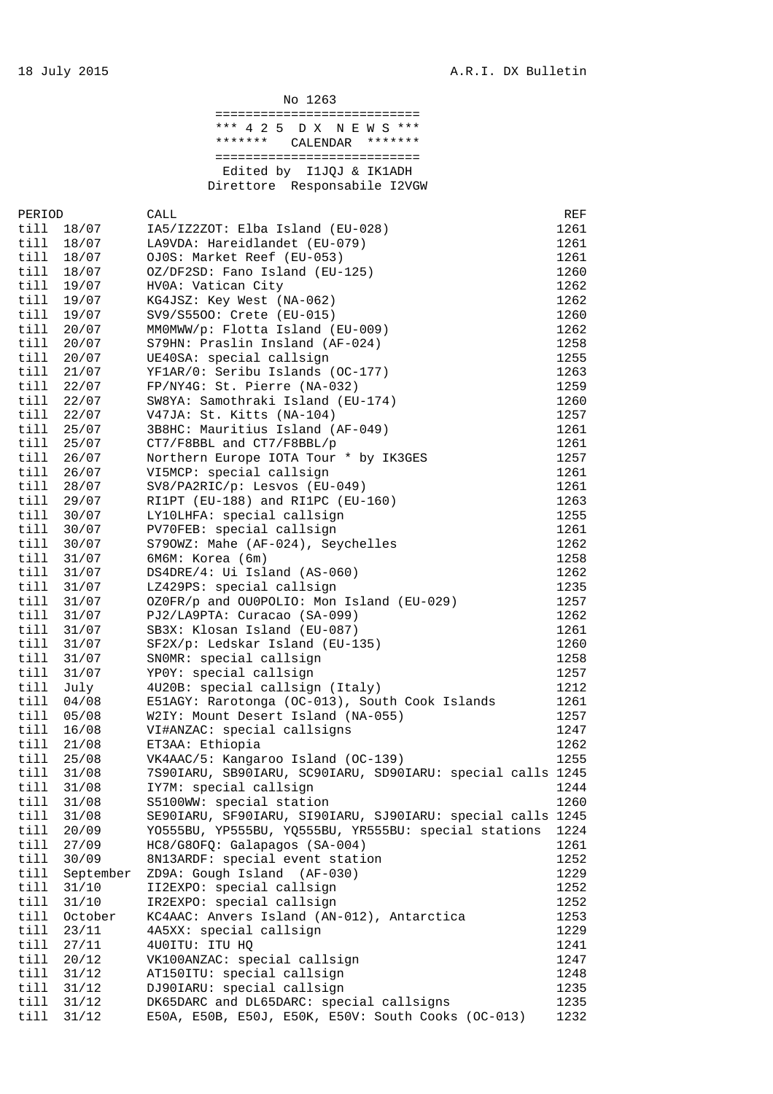|              |            | No 1263                                                    |      |
|--------------|------------|------------------------------------------------------------|------|
|              |            | =============================                              |      |
|              |            | *** 425<br>D X N E W S ***                                 |      |
|              |            | *******<br>CALENDAR<br>*******                             |      |
|              |            | ============================                               |      |
|              |            | Edited by I1JQJ & IK1ADH                                   |      |
|              |            | Direttore Responsabile I2VGW                               |      |
|              |            |                                                            |      |
| PERIOD       |            | CALL                                                       | REF  |
| till         | 18/07      | IA5/IZ2ZOT: Elba Island (EU-028)                           | 1261 |
| till         | 18/07      | LA9VDA: Hareidlandet (EU-079)                              | 1261 |
|              | till 18/07 | OJ0S: Market Reef (EU-053)                                 | 1261 |
|              | till 18/07 | OZ/DF2SD: Fano Island (EU-125)                             | 1260 |
|              | till 19/07 | HV0A: Vatican City                                         | 1262 |
|              | till 19/07 | KG4JSZ: Key West (NA-062)                                  | 1262 |
| till         | 19/07      | SV9/S5500: Crete (EU-015)                                  | 1260 |
| till         | 20/07      | MMOMWW/p: Flotta Island (EU-009)                           | 1262 |
|              | till 20/07 | S79HN: Praslin Insland (AF-024)                            | 1258 |
| till         | 20/07      | UE40SA: special callsign                                   | 1255 |
| till         | 21/07      | YF1AR/0: Seribu Islands (OC-177)                           | 1263 |
| till         | 22/07      | FP/NY4G: St. Pierre (NA-032)                               | 1259 |
| till         | 22/07      | SW8YA: Samothraki Island (EU-174)                          | 1260 |
| till         | 22/07      | V47JA: St. Kitts (NA-104)                                  | 1257 |
|              | till 25/07 | 3B8HC: Mauritius Island (AF-049)                           | 1261 |
|              | till 25/07 | CT7/F8BBL and CT7/F8BBL/p                                  | 1261 |
|              | till 26/07 | Northern Europe IOTA Tour * by IK3GES                      | 1257 |
|              | till 26/07 | VI5MCP: special callsign                                   | 1261 |
|              | till 28/07 |                                                            |      |
|              |            | SV8/PA2RIC/p: Lesvos (EU-049)                              | 1261 |
| till         | 29/07      | RI1PT (EU-188) and RI1PC (EU-160)                          | 1263 |
| till         | 30/07      | LY10LHFA: special callsign                                 | 1255 |
| till<br>till | 30/07      | PV70FEB: special callsign                                  | 1261 |
|              | 30/07      | S790WZ: Mahe (AF-024), Seychelles                          | 1262 |
| till         | 31/07      | 6M6M: Korea (6m)                                           | 1258 |
| till         | 31/07      | DS4DRE/4: Ui Island (AS-060)                               | 1262 |
| till         | 31/07      | LZ429PS: special callsign                                  | 1235 |
| till         | 31/07      | OZOFR/p and OUOPOLIO: Mon Island (EU-029)                  | 1257 |
|              | till 31/07 | PJ2/LA9PTA: Curacao (SA-099)                               | 1262 |
|              | till 31/07 | SB3X: Klosan Island (EU-087)                               | 1261 |
|              | till 31/07 | SF2X/p: Ledskar Island (EU-135)                            | 1260 |
| till         | 31/07      | SNOMR: special callsign                                    | 1258 |
| till         | 31/07      | YP0Y: special callsign                                     | 1257 |
| till         | July       | 4U20B: special callsign (Italy)                            | 1212 |
| till         | 04/08      | E51AGY: Rarotonga (OC-013), South Cook Islands             | 1261 |
| till         | 05/08      | W2IY: Mount Desert Island (NA-055)                         | 1257 |
| till         | 16/08      | VI#ANZAC: special callsigns                                | 1247 |
| till         | 21/08      | ET3AA: Ethiopia                                            | 1262 |
| till         | 25/08      | VK4AAC/5: Kangaroo Island (OC-139)                         | 1255 |
| till         | 31/08      | 7S90IARU, SB90IARU, SC90IARU, SD90IARU: special calls 1245 |      |
| till         | 31/08      | IY7M: special callsign                                     | 1244 |
| till         | 31/08      | S5100WW: special station                                   | 1260 |
| till         | 31/08      | SE90IARU, SF90IARU, SI90IARU, SJ90IARU: special calls 1245 |      |
| till         | 20/09      | YO555BU, YP555BU, YQ555BU, YR555BU: special stations       | 1224 |
| till         | 27/09      | HC8/G8OFQ: Galapagos (SA-004)                              | 1261 |
| till         | 30/09      | 8N13ARDF: special event station                            | 1252 |
| till         | September  | ZD9A: Gough Island (AF-030)                                | 1229 |
| till         | 31/10      | II2EXPO: special callsign                                  | 1252 |
| till         | 31/10      | IR2EXPO: special callsign                                  | 1252 |
| till         | October    | KC4AAC: Anvers Island (AN-012), Antarctica                 | 1253 |
| til1         | 23/11      | 4A5XX: special callsign                                    | 1229 |
| till         | 27/11      | 4U0ITU: ITU HQ                                             | 1241 |
| till         | 20/12      | VK100ANZAC: special callsign                               | 1247 |
| till         | 31/12      | AT150ITU: special callsign                                 | 1248 |
| till         | 31/12      | DJ90IARU: special callsign                                 | 1235 |
| till         | 31/12      | DK65DARC and DL65DARC: special callsigns                   | 1235 |
| till         | 31/12      | E50A, E50B, E50J, E50K, E50V: South Cooks (OC-013)         | 1232 |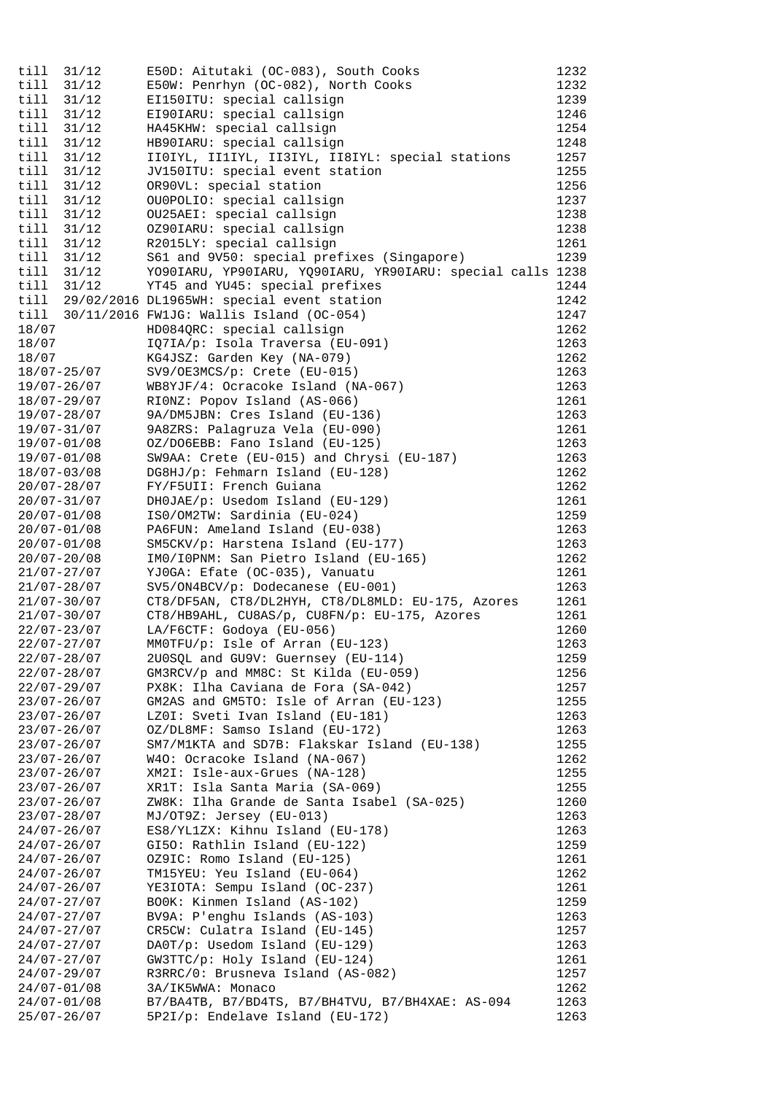| till                               | 31/12          | E50D: Aitutaki (OC-083), South Cooks                                            | 1232         |
|------------------------------------|----------------|---------------------------------------------------------------------------------|--------------|
| till                               | 31/12          | E50W: Penrhyn (OC-082), North Cooks                                             | 1232         |
| till                               | 31/12          | EI150ITU: special callsign                                                      | 1239         |
| till                               | 31/12          | EI90IARU: special callsign                                                      | 1246         |
| till                               | 31/12          | HA45KHW: special callsign                                                       | 1254         |
| till                               | 31/12          | HB90IARU: special callsign                                                      | 1248         |
| till                               | 31/12          | IIOIYL, II1IYL, II3IYL, II8IYL: special stations                                | 1257         |
| till                               | 31/12          | JV150ITU: special event station                                                 | 1255         |
| till                               | 31/12          | OR90VL: special station                                                         | 1256         |
| till                               | 31/12<br>31/12 | OU0POLIO: special callsign<br>OU25AEI: special callsign                         | 1237         |
| till<br>till                       | 31/12          | 0Z90IARU: special callsign                                                      | 1238<br>1238 |
| till                               | 31/12          | R2015LY: special callsign                                                       | 1261         |
| till                               | 31/12          | S61 and 9V50: special prefixes (Singapore)                                      | 1239         |
| till                               | 31/12          | YO90IARU, YP90IARU, YQ90IARU, YR90IARU: special calls 1238                      |              |
| till                               | 31/12          | YT45 and YU45: special prefixes                                                 | 1244         |
|                                    |                | till 29/02/2016 DL1965WH: special event station                                 | 1242         |
|                                    |                | till $30/11/2016$ FW1JG: Wallis Island (OC-054)                                 | 1247         |
| 18/07                              |                | HD084QRC: special callsign                                                      | 1262         |
| 18/07                              |                | IQ7IA/p: Isola Traversa (EU-091)                                                | 1263         |
| 18/07                              |                | KG4JSZ: Garden Key (NA-079)                                                     | 1262         |
| 18/07-25/07                        |                | SV9/OE3MCS/p: Crete (EU-015)                                                    | 1263         |
| 19/07-26/07                        |                | WB8YJF/4: Ocracoke Island (NA-067)                                              | 1263         |
| 18/07-29/07                        |                | RIONZ: Popov Island (AS-066)                                                    | 1261         |
| 19/07-28/07                        |                | 9A/DM5JBN: Cres Island (EU-136)                                                 | 1263         |
| $19/07 - 31/07$                    |                | 9A8ZRS: Palagruza Vela (EU-090)                                                 | 1261         |
| 19/07-01/08                        |                | OZ/DO6EBB: Fano Island (EU-125)                                                 | 1263         |
| $19/07 - 01/08$                    |                | SW9AA: Crete (EU-015) and Chrysi (EU-187)                                       | 1263         |
| $18/07 - 03/08$                    |                | DG8HJ/p: Fehmarn Island (EU-128)                                                | 1262         |
| $20/07 - 28/07$<br>$20/07 - 31/07$ |                | FY/F5UII: French Guiana<br>DHOJAE/p: Usedom Island (EU-129)                     | 1262<br>1261 |
| $20/07 - 01/08$                    |                | ISO/OM2TW: Sardinia (EU-024)                                                    | 1259         |
| $20/07 - 01/08$                    |                | PA6FUN: Ameland Island (EU-038)                                                 | 1263         |
| $20/07 - 01/08$                    |                | SM5CKV/p: Harstena Island (EU-177)                                              | 1263         |
| $20/07 - 20/08$                    |                | IMO/IOPNM: San Pietro Island (EU-165)                                           | 1262         |
| $21/07 - 27/07$                    |                | YJ0GA: Efate (OC-035), Vanuatu                                                  | 1261         |
| $21/07 - 28/07$                    |                | SV5/ON4BCV/p: Dodecanese (EU-001)                                               | 1263         |
| $21/07 - 30/07$                    |                | CT8/DF5AN, CT8/DL2HYH, CT8/DL8MLD: EU-175, Azores                               | 1261         |
| $21/07 - 30/07$                    |                | CT8/HB9AHL, CU8AS/p, CU8FN/p: EU-175, Azores                                    | 1261         |
| $22/07 - 23/07$                    |                | LA/F6CTF: Godoya (EU-056)                                                       | 1260         |
| $22/07 - 27/07$                    |                | MMOTFU/p: Isle of Arran (EU-123)                                                | 1263         |
| $22/07 - 28/07$                    |                | 2U0SQL and GU9V: Guernsey (EU-114)                                              | 1259         |
| $22/07 - 28/07$                    |                | GM3RCV/p and MM8C: St Kilda (EU-059)                                            | 1256         |
| $22/07 - 29/07$                    |                | PX8K: Ilha Caviana de Fora (SA-042)                                             | 1257         |
| $23/07 - 26/07$                    |                | GM2AS and GM5TO: Isle of Arran (EU-123)                                         | 1255         |
| $23/07 - 26/07$                    |                | LZ0I: Sveti Ivan Island (EU-181)                                                | 1263         |
| 23/07-26/07                        |                | OZ/DL8MF: Samso Island (EU-172)<br>SM7/M1KTA and SD7B: Flakskar Island (EU-138) | 1263         |
| $23/07 - 26/07$<br>$23/07 - 26/07$ |                | W40: Ocracoke Island (NA-067)                                                   | 1255<br>1262 |
| $23/07 - 26/07$                    |                | XM2I: Isle-aux-Grues (NA-128)                                                   | 1255         |
| $23/07 - 26/07$                    |                | XR1T: Isla Santa Maria (SA-069)                                                 | 1255         |
| 23/07-26/07                        |                | ZW8K: Ilha Grande de Santa Isabel (SA-025)                                      | 1260         |
| 23/07-28/07                        |                | MJ/OT9Z: Jersey (EU-013)                                                        | 1263         |
| $24/07 - 26/07$                    |                | ES8/YL1ZX: Kihnu Island (EU-178)                                                | 1263         |
| $24/07 - 26/07$                    |                | GI50: Rathlin Island (EU-122)                                                   | 1259         |
| $24/07 - 26/07$                    |                | OZ9IC: Romo Island (EU-125)                                                     | 1261         |
| $24/07 - 26/07$                    |                | TM15YEU: Yeu Island (EU-064)                                                    | 1262         |
| $24/07 - 26/07$                    |                | YE3IOTA: Sempu Island (OC-237)                                                  | 1261         |
| $24/07 - 27/07$                    |                | BOOK: Kinmen Island (AS-102)                                                    | 1259         |
| $24/07 - 27/07$                    |                | BV9A: P'enghu Islands (AS-103)                                                  | 1263         |
| $24/07 - 27/07$                    |                | CR5CW: Culatra Island (EU-145)                                                  | 1257         |
| $24/07 - 27/07$                    |                | DA0T/p: Usedom Island (EU-129)                                                  | 1263         |
| $24/07 - 27/07$                    |                | GW3TTC/p: Holy Island (EU-124)                                                  | 1261         |
| $24/07 - 29/07$                    |                | R3RRC/0: Brusneva Island (AS-082)                                               | 1257         |
| 24/07-01/08                        |                | 3A/IK5WWA: Monaco                                                               | 1262         |
| $24/07 - 01/08$                    |                | B7/BA4TB, B7/BD4TS, B7/BH4TVU, B7/BH4XAE: AS-094                                | 1263         |
| $25/07 - 26/07$                    |                | 5P2I/p: Endelave Island (EU-172)                                                | 1263         |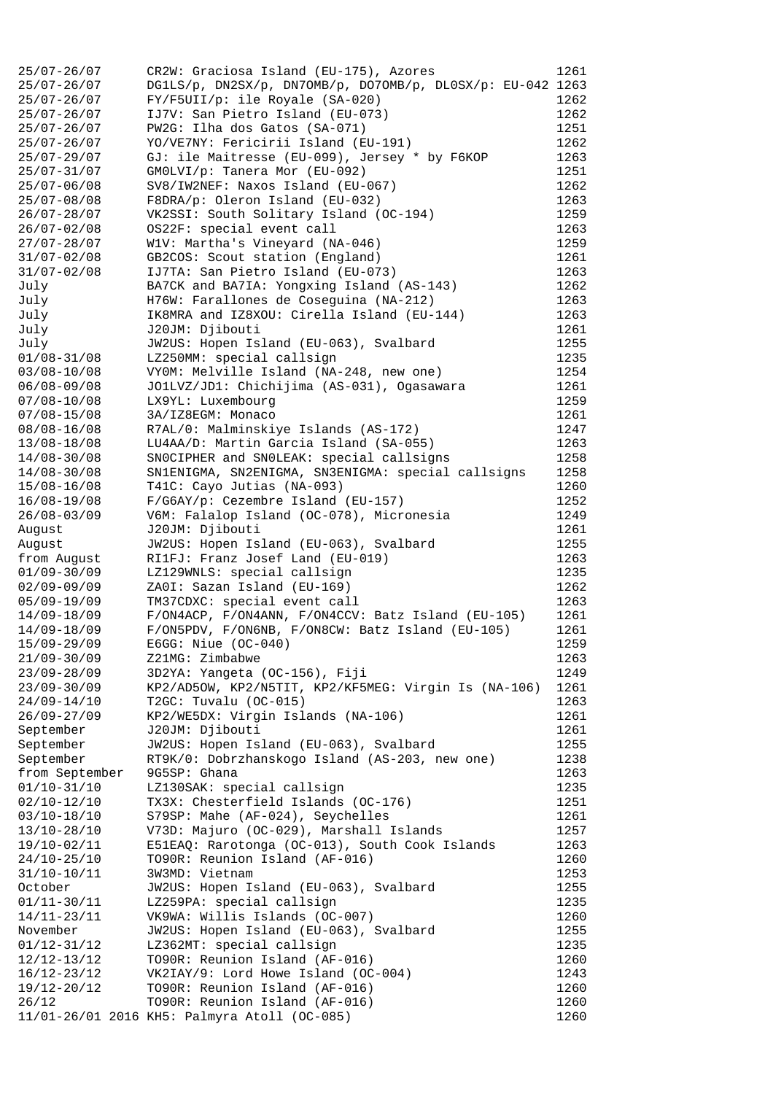| $25/07 - 26/07$                    | CR2W: Graciosa Island (EU-175), Azores                     | 1261 |
|------------------------------------|------------------------------------------------------------|------|
| $25/07 - 26/07$                    | DG1LS/p, DN2SX/p, DN7OMB/p, DO7OMB/p, DL0SX/p: EU-042 1263 |      |
| $25/07 - 26/07$                    | $FY/F5UII/p: ile Royale (SA-020)$                          | 1262 |
| $25/07 - 26/07$                    | IJ7V: San Pietro Island (EU-073)                           | 1262 |
| $25/07 - 26/07$                    | PW2G: Ilha dos Gatos (SA-071)                              | 1251 |
| $25/07 - 26/07$                    | YO/VE7NY: Fericirii Island (EU-191)                        | 1262 |
| $25/07 - 29/07$                    | GJ: ile Maitresse (EU-099), Jersey * by F6KOP              | 1263 |
| $25/07 - 31/07$                    | GMOLVI/p: Tanera Mor (EU-092)                              | 1251 |
| $25/07 - 06/08$                    | SV8/IW2NEF: Naxos Island (EU-067)                          | 1262 |
| $25/07 - 08/08$                    | F8DRA/p: Oleron Island (EU-032)                            | 1263 |
| $26/07 - 28/07$                    | VK2SSI: South Solitary Island (OC-194)                     | 1259 |
| $26/07 - 02/08$                    | OS22F: special event call                                  | 1263 |
| $27/07 - 28/07$                    | W1V: Martha's Vineyard (NA-046)                            | 1259 |
| $31/07 - 02/08$                    | GB2COS: Scout station (England)                            | 1261 |
| $31/07 - 02/08$                    | IJ7TA: San Pietro Island (EU-073)                          | 1263 |
| July                               | BA7CK and BA7IA: Yongxing Island (AS-143)                  | 1262 |
| July                               | H76W: Farallones de Coseguina (NA-212)                     | 1263 |
| July                               | IK8MRA and IZ8XOU: Cirella Island (EU-144)                 | 1263 |
| July                               | J20JM: Djibouti                                            | 1261 |
| July                               | JW2US: Hopen Island (EU-063), Svalbard                     | 1255 |
| $01/08 - 31/08$                    | LZ250MM: special callsign                                  | 1235 |
| $03/08 - 10/08$                    | VYOM: Melville Island (NA-248, new one)                    | 1254 |
| $06/08 - 09/08$                    | JO1LVZ/JD1: Chichijima (AS-031), Ogasawara                 | 1261 |
| $07/08 - 10/08$                    | LX9YL: Luxembourg                                          | 1259 |
| $07/08 - 15/08$                    | 3A/IZ8EGM: Monaco                                          | 1261 |
| $08/08 - 16/08$                    | R7AL/0: Malminskiye Islands (AS-172)                       | 1247 |
| $13/08 - 18/08$                    | LU4AA/D: Martin Garcia Island (SA-055)                     | 1263 |
| $14/08 - 30/08$                    | SNOCIPHER and SNOLEAK: special callsigns                   | 1258 |
| $14/08 - 30/08$                    | SN1ENIGMA, SN2ENIGMA, SN3ENIGMA: special callsigns         | 1258 |
| $15/08 - 16/08$                    | T41C: Cayo Jutias (NA-093)                                 | 1260 |
| 16/08-19/08                        | F/G6AY/p: Cezembre Island (EU-157)                         | 1252 |
| $26/08 - 03/09$                    | V6M: Falalop Island (OC-078), Micronesia                   | 1249 |
| August                             | J20JM: Djibouti                                            | 1261 |
| August                             | JW2US: Hopen Island (EU-063), Svalbard                     | 1255 |
| from August                        | RI1FJ: Franz Josef Land (EU-019)                           | 1263 |
| $01/09 - 30/09$                    | LZ129WNLS: special callsign                                | 1235 |
| $02/09 - 09/09$                    | ZAOI: Sazan Island (EU-169)                                | 1262 |
| $05/09 - 19/09$                    | TM37CDXC: special event call                               | 1263 |
| $14/09 - 18/09$                    | F/ON4ACP, F/ON4ANN, F/ON4CCV: Batz Island (EU-105)         | 1261 |
| $14/09 - 18/09$                    | F/ON5PDV, F/ON6NB, F/ON8CW: Batz Island (EU-105)           | 1261 |
| 15/09-29/09                        | E6GG: Niue $(OC-040)$                                      | 1259 |
| $21/09 - 30/09$                    | Z21MG: Zimbabwe                                            | 1263 |
| $23/09 - 28/09$                    | 3D2YA: Yangeta (OC-156), Fiji                              | 1249 |
| $23/09 - 30/09$                    | KP2/AD5OW, KP2/N5TIT, KP2/KF5MEG: Virgin Is (NA-106)       | 1261 |
| $24/09 - 14/10$                    | T2GC: Tuvalu (OC-015)                                      | 1263 |
| $26/09 - 27/09$                    | KP2/WE5DX: Virgin Islands (NA-106)                         | 1261 |
| September                          | J20JM: Djibouti                                            | 1261 |
| September                          | JW2US: Hopen Island (EU-063), Svalbard                     | 1255 |
| September                          | RT9K/0: Dobrzhanskogo Island (AS-203, new one)             | 1238 |
| from September                     | 9G5SP: Ghana                                               | 1263 |
| $01/10-31/10$                      | LZ130SAK: special callsign                                 | 1235 |
| $02/10 - 12/10$                    | TX3X: Chesterfield Islands (OC-176)                        | 1251 |
| $03/10 - 18/10$                    | S79SP: Mahe (AF-024), Seychelles                           | 1261 |
| $13/10 - 28/10$                    | V73D: Majuro (OC-029), Marshall Islands                    | 1257 |
| 19/10-02/11                        | E51EAQ: Rarotonga (OC-013), South Cook Islands             | 1263 |
| $24/10 - 25/10$                    | TO90R: Reunion Island (AF-016)                             | 1260 |
| $31/10 - 10/11$                    | 3W3MD: Vietnam                                             | 1253 |
| October                            | JW2US: Hopen Island (EU-063), Svalbard                     | 1255 |
|                                    | LZ259PA: special callsign                                  | 1235 |
| $01/11 - 30/11$<br>$14/11 - 23/11$ | VK9WA: Willis Islands (OC-007)                             | 1260 |
| November                           | JW2US: Hopen Island (EU-063), Svalbard                     | 1255 |
| $01/12 - 31/12$                    | LZ362MT: special callsign                                  | 1235 |
| $12/12 - 13/12$                    | TO90R: Reunion Island (AF-016)                             | 1260 |
| $16/12 - 23/12$                    | VK2IAY/9: Lord Howe Island (OC-004)                        | 1243 |
| 19/12-20/12                        | TO90R: Reunion Island (AF-016)                             | 1260 |
| 26/12                              | TO90R: Reunion Island (AF-016)                             | 1260 |
|                                    | 11/01-26/01 2016 KH5: Palmyra Atoll (OC-085)               | 1260 |
|                                    |                                                            |      |